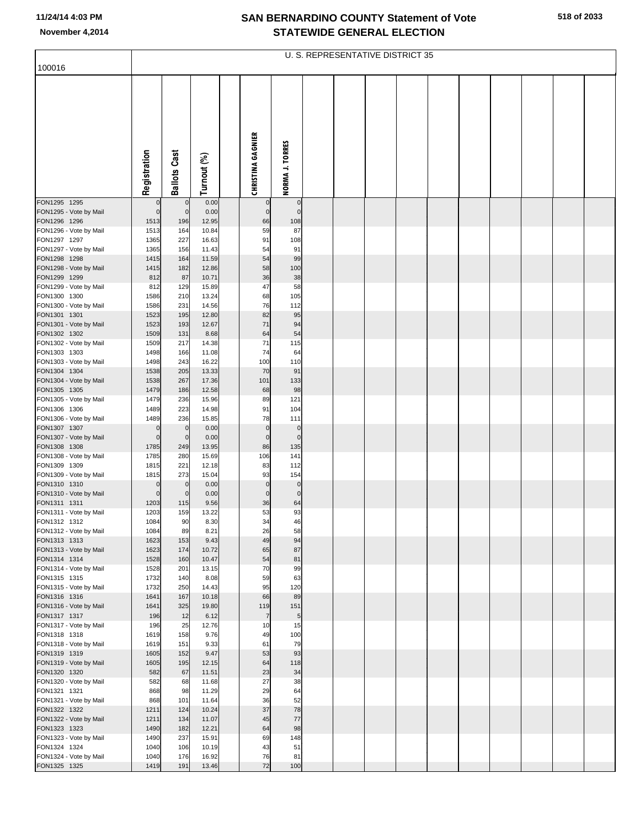|                                        | U. S. REPRESENTATIVE DISTRICT 35 |                     |                |  |                          |                        |  |  |  |  |  |  |  |  |  |
|----------------------------------------|----------------------------------|---------------------|----------------|--|--------------------------|------------------------|--|--|--|--|--|--|--|--|--|
| 100016                                 |                                  |                     |                |  |                          |                        |  |  |  |  |  |  |  |  |  |
|                                        | Registration                     | <b>Ballots Cast</b> | Turnout (%)    |  | <b>CHRISTINA GAGNIER</b> | <b>NORMA J. TORRES</b> |  |  |  |  |  |  |  |  |  |
| FON1295 1295                           |                                  | $\mathbf 0$         | 0.00           |  |                          | $\mathbf 0$            |  |  |  |  |  |  |  |  |  |
| FON1295 - Vote by Mail                 | $\mathbf 0$                      | $\overline{0}$      | 0.00           |  | $\mathsf{C}$             | $\mathbf 0$            |  |  |  |  |  |  |  |  |  |
| FON1296 1296<br>FON1296 - Vote by Mail | 1513<br>1513                     | 196<br>164          | 12.95<br>10.84 |  | 66<br>59                 | 108<br>87              |  |  |  |  |  |  |  |  |  |
| FON1297 1297                           | 1365                             | 227                 | 16.63          |  | 91                       | 108                    |  |  |  |  |  |  |  |  |  |
| FON1297 - Vote by Mail                 | 1365                             | 156                 | 11.43          |  | 54                       | 91                     |  |  |  |  |  |  |  |  |  |
| FON1298 1298<br>FON1298 - Vote by Mail | 1415<br>1415                     | 164<br>182          | 11.59<br>12.86 |  | 54<br>58                 | 99<br>100              |  |  |  |  |  |  |  |  |  |
| FON1299 1299                           | 812                              | 87                  | 10.71          |  | 36                       | 38                     |  |  |  |  |  |  |  |  |  |
| FON1299 - Vote by Mail                 | 812                              | 129                 | 15.89          |  | 47                       | 58                     |  |  |  |  |  |  |  |  |  |
| FON1300 1300                           | 1586                             | 210                 | 13.24          |  | 68                       | 105                    |  |  |  |  |  |  |  |  |  |
| FON1300 - Vote by Mail<br>FON1301 1301 | 1586<br>1523                     | 231<br>195          | 14.56<br>12.80 |  | 76<br>82                 | 112                    |  |  |  |  |  |  |  |  |  |
| FON1301 - Vote by Mail                 | 1523                             | 193                 | 12.67          |  | 71                       | 95<br>94               |  |  |  |  |  |  |  |  |  |
| FON1302 1302                           | 1509                             | 131                 | 8.68           |  | 64                       | 54                     |  |  |  |  |  |  |  |  |  |
| FON1302 - Vote by Mail                 | 1509                             | 217                 | 14.38          |  | 71                       | 115                    |  |  |  |  |  |  |  |  |  |
| FON1303 1303<br>FON1303 - Vote by Mail | 1498<br>1498                     | 166<br>243          | 11.08<br>16.22 |  | 74<br>100                | 64<br>110              |  |  |  |  |  |  |  |  |  |
| FON1304 1304                           | 1538                             | 205                 | 13.33          |  | 70                       | 91                     |  |  |  |  |  |  |  |  |  |
| FON1304 - Vote by Mail                 | 1538                             | 267                 | 17.36          |  | 101                      | 133                    |  |  |  |  |  |  |  |  |  |
| FON1305 1305                           | 1479                             | 186                 | 12.58          |  | 68                       | 98                     |  |  |  |  |  |  |  |  |  |
| FON1305 - Vote by Mail<br>FON1306 1306 | 1479<br>1489                     | 236<br>223          | 15.96<br>14.98 |  | 89<br>91                 | 121<br>104             |  |  |  |  |  |  |  |  |  |
| FON1306 - Vote by Mail                 | 1489                             | 236                 | 15.85          |  | 78                       | 111                    |  |  |  |  |  |  |  |  |  |
| FON1307 1307                           | $\mathbf 0$                      | $\mathbf 0$         | 0.00           |  | $\mathbf 0$              | $\mathbf 0$            |  |  |  |  |  |  |  |  |  |
| FON1307 - Vote by Mail                 | $\mathbf 0$                      | $\mathbf 0$         | 0.00           |  | $\mathbf 0$              | $\mathbf 0$            |  |  |  |  |  |  |  |  |  |
| FON1308 1308<br>FON1308 - Vote by Mail | 1785<br>1785                     | 249<br>280          | 13.95<br>15.69 |  | 86<br>106                | 135<br>141             |  |  |  |  |  |  |  |  |  |
| FON1309 1309                           | 1815                             | 221                 | 12.18          |  | 83                       | 112                    |  |  |  |  |  |  |  |  |  |
| FON1309 - Vote by Mail                 | 1815                             | 273                 | 15.04          |  | 93                       | 154                    |  |  |  |  |  |  |  |  |  |
| FON1310 1310                           | O                                | $\mathbf 0$         | 0.00           |  | $\mathsf{C}$             | $\mathbf 0$            |  |  |  |  |  |  |  |  |  |
| FON1310 - Vote by Mail<br>FON1311 1311 | $\Omega$<br>1203                 | $\Omega$<br>115     | 0.00<br>9.56   |  | $\mathbf 0$<br>36        | $\mathbf 0$<br>64      |  |  |  |  |  |  |  |  |  |
| FON1311 - Vote by Mail                 | 1203                             | 159                 | 13.22          |  | 53                       | 93                     |  |  |  |  |  |  |  |  |  |
| FON1312 1312                           | 1084                             | 90                  | 8.30           |  | 34                       | 46                     |  |  |  |  |  |  |  |  |  |
| FON1312 - Vote by Mail<br>FON1313 1313 | 1084<br>1623                     | 89<br>153           | 8.21<br>9.43   |  | 26<br>49                 | 58<br>94               |  |  |  |  |  |  |  |  |  |
| FON1313 - Vote by Mail                 | 1623                             | 174                 | 10.72          |  | 65                       | 87                     |  |  |  |  |  |  |  |  |  |
| FON1314 1314                           | 1528                             | 160                 | 10.47          |  | 54                       | 81                     |  |  |  |  |  |  |  |  |  |
| FON1314 - Vote by Mail                 | 1528                             | 201                 | 13.15          |  | 70                       | 99                     |  |  |  |  |  |  |  |  |  |
| FON1315 1315<br>FON1315 - Vote by Mail | 1732<br>1732                     | 140<br>250          | 8.08<br>14.43  |  | 59<br>95                 | 63<br>120              |  |  |  |  |  |  |  |  |  |
| FON1316 1316                           | 1641                             | 167                 | 10.18          |  | 66                       | 89                     |  |  |  |  |  |  |  |  |  |
| FON1316 - Vote by Mail                 | 1641                             | 325                 | 19.80          |  | 119                      | 151                    |  |  |  |  |  |  |  |  |  |
| FON1317 1317                           | 196<br>196                       | 12<br>25            | 6.12<br>12.76  |  | $\overline{7}$<br>10     | $\overline{5}$<br>15   |  |  |  |  |  |  |  |  |  |
| FON1317 - Vote by Mail<br>FON1318 1318 | 1619                             | 158                 | 9.76           |  | 49                       | 100                    |  |  |  |  |  |  |  |  |  |
| FON1318 - Vote by Mail                 | 1619                             | 151                 | 9.33           |  | 61                       | 79                     |  |  |  |  |  |  |  |  |  |
| FON1319 1319                           | 1605                             | 152                 | 9.47           |  | 53                       | 93                     |  |  |  |  |  |  |  |  |  |
| FON1319 - Vote by Mail<br>FON1320 1320 | 1605<br>582                      | 195<br>67           | 12.15<br>11.51 |  | 64                       | 118                    |  |  |  |  |  |  |  |  |  |
| FON1320 - Vote by Mail                 | 582                              | 68                  | 11.68          |  | 23<br>27                 | 34<br>38               |  |  |  |  |  |  |  |  |  |
| FON1321 1321                           | 868                              | 98                  | 11.29          |  | 29                       | 64                     |  |  |  |  |  |  |  |  |  |
| FON1321 - Vote by Mail                 | 868                              | 101                 | 11.64          |  | 36                       | 52                     |  |  |  |  |  |  |  |  |  |
| FON1322 1322<br>FON1322 - Vote by Mail | 1211<br>1211                     | 124<br>134          | 10.24<br>11.07 |  | 37<br>45                 | 78<br>77               |  |  |  |  |  |  |  |  |  |
| FON1323 1323                           | 1490                             | 182                 | 12.21          |  | 64                       | 98                     |  |  |  |  |  |  |  |  |  |
| FON1323 - Vote by Mail                 | 1490                             | 237                 | 15.91          |  | 69                       | 148                    |  |  |  |  |  |  |  |  |  |
| FON1324 1324                           | 1040                             | 106                 | 10.19          |  | 43                       | 51                     |  |  |  |  |  |  |  |  |  |
| FON1324 - Vote by Mail<br>FON1325 1325 | 1040<br>1419                     | 176<br>191          | 16.92<br>13.46 |  | 76<br>72                 | 81<br>100              |  |  |  |  |  |  |  |  |  |
|                                        |                                  |                     |                |  |                          |                        |  |  |  |  |  |  |  |  |  |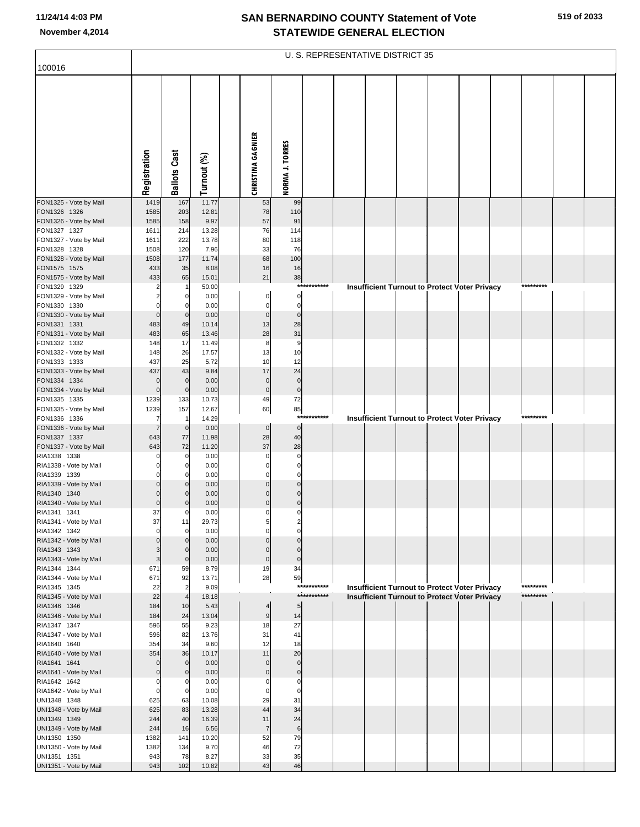| 100016                                 | U. S. REPRESENTATIVE DISTRICT 35 |                            |                |  |                          |                            |             |  |  |  |                                                      |  |  |           |  |
|----------------------------------------|----------------------------------|----------------------------|----------------|--|--------------------------|----------------------------|-------------|--|--|--|------------------------------------------------------|--|--|-----------|--|
|                                        |                                  |                            |                |  |                          |                            |             |  |  |  |                                                      |  |  |           |  |
|                                        |                                  |                            |                |  |                          |                            |             |  |  |  |                                                      |  |  |           |  |
|                                        |                                  |                            |                |  |                          |                            |             |  |  |  |                                                      |  |  |           |  |
|                                        |                                  |                            |                |  |                          |                            |             |  |  |  |                                                      |  |  |           |  |
|                                        |                                  |                            |                |  |                          |                            |             |  |  |  |                                                      |  |  |           |  |
|                                        |                                  |                            |                |  |                          |                            |             |  |  |  |                                                      |  |  |           |  |
|                                        |                                  |                            |                |  |                          |                            |             |  |  |  |                                                      |  |  |           |  |
|                                        |                                  |                            |                |  |                          |                            |             |  |  |  |                                                      |  |  |           |  |
|                                        |                                  |                            |                |  |                          |                            |             |  |  |  |                                                      |  |  |           |  |
|                                        | Registration                     | <b>Ballots Cast</b>        | Turnout (%)    |  | <b>CHRISTINA GAGNIER</b> | NORMA J. TORRES            |             |  |  |  |                                                      |  |  |           |  |
| FON1325 - Vote by Mail                 | 1419                             | 167                        | 11.77          |  | 53                       | 99                         |             |  |  |  |                                                      |  |  |           |  |
| FON1326 1326                           | 1585                             | 203                        | 12.81          |  | 78                       | 110                        |             |  |  |  |                                                      |  |  |           |  |
| FON1326 - Vote by Mail                 | 1585                             | 158                        | 9.97           |  | 57                       | 91                         |             |  |  |  |                                                      |  |  |           |  |
| FON1327 1327                           | 1611                             | 214                        | 13.28          |  | 76                       | 114                        |             |  |  |  |                                                      |  |  |           |  |
| FON1327 - Vote by Mail<br>FON1328 1328 | 1611<br>1508                     | 222<br>120                 | 13.78<br>7.96  |  | 80<br>33                 | 118<br>76                  |             |  |  |  |                                                      |  |  |           |  |
| FON1328 - Vote by Mail                 | 1508                             | 177                        | 11.74          |  | 68                       | 100                        |             |  |  |  |                                                      |  |  |           |  |
| FON1575 1575                           | 433                              | 35                         | 8.08           |  | 16                       | 16                         |             |  |  |  |                                                      |  |  |           |  |
| FON1575 - Vote by Mail                 | 433                              | 65                         | 15.01          |  | 21                       | 38                         |             |  |  |  |                                                      |  |  |           |  |
| FON1329 1329<br>FON1329 - Vote by Mail | 2<br>2                           | 0                          | 50.00<br>0.00  |  | $\mathbf 0$              | $\mathbf 0$                | *********** |  |  |  | Insufficient Turnout to Protect Voter Privacy        |  |  | ********* |  |
| FON1330 1330                           |                                  |                            | 0.00           |  | $\sqrt{ }$               | $\mathbf 0$                |             |  |  |  |                                                      |  |  |           |  |
| FON1330 - Vote by Mail                 | $\mathbf 0$                      | $\mathbf 0$                | 0.00           |  | $\mathbf 0$              | $\mathbf 0$                |             |  |  |  |                                                      |  |  |           |  |
| FON1331 1331                           | 483                              | 49                         | 10.14          |  | 13                       | 28                         |             |  |  |  |                                                      |  |  |           |  |
| FON1331 - Vote by Mail                 | 483                              | 65                         | 13.46          |  | 28<br>8                  | 31<br>9                    |             |  |  |  |                                                      |  |  |           |  |
| FON1332 1332<br>FON1332 - Vote by Mail | 148<br>148                       | 17<br>26                   | 11.49<br>17.57 |  | 13                       | 10                         |             |  |  |  |                                                      |  |  |           |  |
| FON1333 1333                           | 437                              | 25                         | 5.72           |  | 10                       | 12                         |             |  |  |  |                                                      |  |  |           |  |
| FON1333 - Vote by Mail                 | 437                              | 43                         | 9.84           |  | 17                       | 24                         |             |  |  |  |                                                      |  |  |           |  |
| FON1334 1334                           | $\mathbf 0$                      | $\mathbf 0$                | 0.00           |  | $\mathbf{0}$             | $\mathbf 0$                |             |  |  |  |                                                      |  |  |           |  |
| FON1334 - Vote by Mail<br>FON1335 1335 | $\mathbf 0$<br>1239              | $\mathbf 0$<br>133         | 0.00<br>10.73  |  | $\mathbf 0$<br>49        | $\mathbf 0$<br>72          |             |  |  |  |                                                      |  |  |           |  |
| FON1335 - Vote by Mail                 | 1239                             | 157                        | 12.67          |  | 60                       | 85                         |             |  |  |  |                                                      |  |  |           |  |
| FON1336 1336                           | 7                                | $\mathbf{1}$               | 14.29          |  |                          |                            | *********** |  |  |  | <b>Insufficient Turnout to Protect Voter Privacy</b> |  |  | ********* |  |
| FON1336 - Vote by Mail                 | 7                                | $\mathbf 0$                | 0.00           |  | $\mathbf 0$              | $\mathbf 0$                |             |  |  |  |                                                      |  |  |           |  |
| FON1337 1337<br>FON1337 - Vote by Mail | 643<br>643                       | 77<br>72                   | 11.98<br>11.20 |  | 28<br>37                 | 40<br>28                   |             |  |  |  |                                                      |  |  |           |  |
| RIA1338 1338                           |                                  | 0                          | 0.00           |  | $\mathbf 0$              | $\mathbf 0$                |             |  |  |  |                                                      |  |  |           |  |
| RIA1338 - Vote by Mail                 |                                  | 0                          | 0.00           |  | $\sqrt{ }$               | $\Omega$                   |             |  |  |  |                                                      |  |  |           |  |
| RIA1339 1339                           |                                  |                            | 0.00           |  |                          | $\Omega$                   |             |  |  |  |                                                      |  |  |           |  |
| RIA1339 - Vote by Mail<br>RIA1340 1340 |                                  | $\mathbf 0$<br>$\mathbf 0$ | 0.00<br>0.00   |  | $\Omega$<br>$\Omega$     | $\mathbf{0}$<br>$\Omega$   |             |  |  |  |                                                      |  |  |           |  |
| RIA1340 - Vote by Mail                 | $\mathbf 0$                      | $\Omega$                   | 0.00           |  | $\Omega$                 | $\Omega$                   |             |  |  |  |                                                      |  |  |           |  |
| RIA1341 1341                           | 37                               | 0                          | 0.00           |  | C                        | $\Omega$                   |             |  |  |  |                                                      |  |  |           |  |
| RIA1341 - Vote by Mail                 | 37                               | 11                         | 29.73          |  |                          |                            |             |  |  |  |                                                      |  |  |           |  |
| RIA1342 1342<br>RIA1342 - Vote by Mail | $\Omega$                         | 0                          | 0.00<br>0.00   |  | C<br>$\Omega$            | $\sqrt{ }$<br>$\mathbf 0$  |             |  |  |  |                                                      |  |  |           |  |
| RIA1343 1343                           | 3                                | $\mathbf 0$                | 0.00           |  | $\Omega$                 | $\Omega$                   |             |  |  |  |                                                      |  |  |           |  |
| RIA1343 - Vote by Mail                 | 3                                | $\mathbf 0$                | 0.00           |  | $\mathbf 0$              | $\mathbf 0$                |             |  |  |  |                                                      |  |  |           |  |
| RIA1344 1344                           | 671                              | 59                         | 8.79           |  | 19                       | 34                         |             |  |  |  |                                                      |  |  |           |  |
| RIA1344 - Vote by Mail<br>RIA1345 1345 | 671<br>22                        | 92<br>$\overline{2}$       | 13.71<br>9.09  |  | 28                       | 59                         | *********** |  |  |  | <b>Insufficient Turnout to Protect Voter Privacy</b> |  |  | ********* |  |
| RIA1345 - Vote by Mail                 | 22                               |                            | 18.18          |  |                          |                            | *********** |  |  |  | Insufficient Turnout to Protect Voter Privacy        |  |  | ********* |  |
| RIA1346 1346                           | 184                              | 10                         | 5.43           |  | 4                        | 5                          |             |  |  |  |                                                      |  |  |           |  |
| RIA1346 - Vote by Mail                 | 184                              | 24                         | 13.04          |  | $9\,$                    | 14                         |             |  |  |  |                                                      |  |  |           |  |
| RIA1347 1347<br>RIA1347 - Vote by Mail | 596<br>596                       | 55<br>82                   | 9.23<br>13.76  |  | 18<br>31                 | 27<br>41                   |             |  |  |  |                                                      |  |  |           |  |
| RIA1640 1640                           | 354                              | 34                         | 9.60           |  | 12                       | 18                         |             |  |  |  |                                                      |  |  |           |  |
| RIA1640 - Vote by Mail                 | 354                              | 36                         | 10.17          |  | 11                       | 20                         |             |  |  |  |                                                      |  |  |           |  |
| RIA1641 1641                           | $\Omega$                         | $\mathbf 0$                | 0.00           |  | $\mathbf 0$              | $\mathbf{0}$               |             |  |  |  |                                                      |  |  |           |  |
| RIA1641 - Vote by Mail<br>RIA1642 1642 | $\Omega$<br>$\Omega$             | $\mathbf 0$<br>0           | 0.00<br>0.00   |  | $\Omega$<br>C            | $\mathbf 0$<br>$\mathbf 0$ |             |  |  |  |                                                      |  |  |           |  |
| RIA1642 - Vote by Mail                 | $\Omega$                         | 0                          | 0.00           |  | $\mathbf 0$              | $\mathbf 0$                |             |  |  |  |                                                      |  |  |           |  |
| UNI1348 1348                           | 625                              | 63                         | 10.08          |  | 29                       | 31                         |             |  |  |  |                                                      |  |  |           |  |
| UNI1348 - Vote by Mail                 | 625                              | 83                         | 13.28          |  | 44                       | 34                         |             |  |  |  |                                                      |  |  |           |  |
| UNI1349 1349                           | 244<br>244                       | 40<br>16                   | 16.39<br>6.56  |  | 11<br>$\overline{7}$     | 24<br>6                    |             |  |  |  |                                                      |  |  |           |  |
| UNI1349 - Vote by Mail<br>UNI1350 1350 | 1382                             | 141                        | 10.20          |  | 52                       | 79                         |             |  |  |  |                                                      |  |  |           |  |
| UNI1350 - Vote by Mail                 | 1382                             | 134                        | 9.70           |  | 46                       | 72                         |             |  |  |  |                                                      |  |  |           |  |
| UNI1351 1351                           | 943                              | 78                         | 8.27           |  | 33                       | 35                         |             |  |  |  |                                                      |  |  |           |  |
| UNI1351 - Vote by Mail                 | 943                              | 102                        | 10.82          |  | 43                       | 46                         |             |  |  |  |                                                      |  |  |           |  |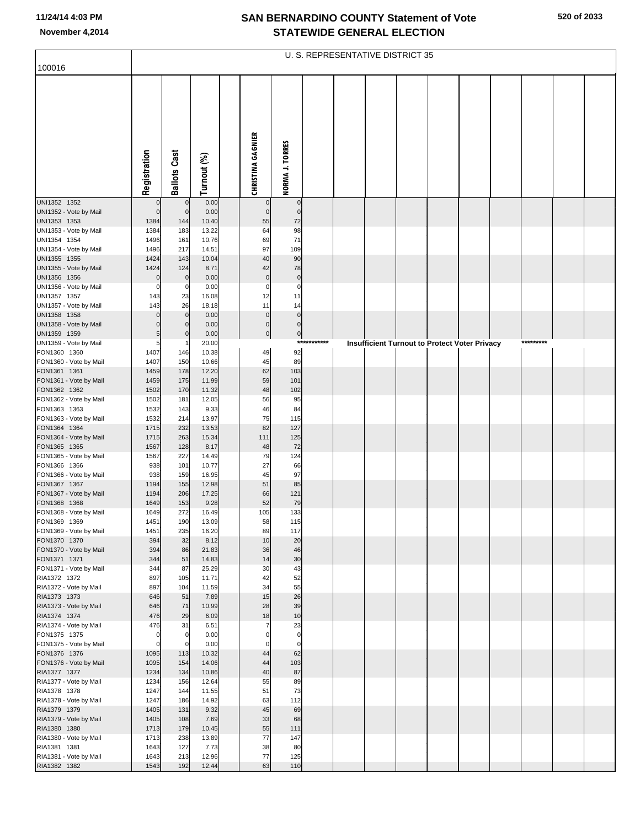| 100016                                 |                         |                            |                |                                  |                            |             | U. S. REPRESENTATIVE DISTRICT 35 |                                               |  |  |           |  |
|----------------------------------------|-------------------------|----------------------------|----------------|----------------------------------|----------------------------|-------------|----------------------------------|-----------------------------------------------|--|--|-----------|--|
|                                        |                         |                            |                |                                  |                            |             |                                  |                                               |  |  |           |  |
|                                        | Registration            | <b>Ballots Cast</b>        | Turnout (%)    | <b>CHRISTINA GAGNIER</b>         | NORMA J. TORRES            |             |                                  |                                               |  |  |           |  |
| UNI1352 1352<br>UNI1352 - Vote by Mail | $\Omega$<br>$\mathbf 0$ | $\mathbf 0$<br>$\mathbf 0$ | 0.00<br>0.00   | $\overline{0}$<br>$\overline{0}$ | $\mathbf 0$<br>$\mathbf 0$ |             |                                  |                                               |  |  |           |  |
| UNI1353 1353                           | 1384                    | 144                        | 10.40          | 55                               | 72                         |             |                                  |                                               |  |  |           |  |
| UNI1353 - Vote by Mail                 | 1384                    | 183                        | 13.22          | 64                               | 98                         |             |                                  |                                               |  |  |           |  |
| UNI1354 1354                           | 1496<br>1496            | 161                        | 10.76          | 69<br>97                         | 71                         |             |                                  |                                               |  |  |           |  |
| UNI1354 - Vote by Mail<br>UNI1355 1355 | 1424                    | 217<br>143                 | 14.51<br>10.04 | 40                               | 109<br>90                  |             |                                  |                                               |  |  |           |  |
| UNI1355 - Vote by Mail                 | 1424                    | 124                        | 8.71           | 42                               | 78                         |             |                                  |                                               |  |  |           |  |
| UNI1356 1356                           | $\mathbf 0$             | $\mathbf 0$                | 0.00           | $\overline{0}$                   | $\mathbf 0$                |             |                                  |                                               |  |  |           |  |
| UNI1356 - Vote by Mail                 | $\Omega$                | 0                          | 0.00           | $\mathbf 0$                      | $\mathbf 0$                |             |                                  |                                               |  |  |           |  |
| UNI1357 1357<br>UNI1357 - Vote by Mail | 143<br>143              | 23<br>26                   | 16.08<br>18.18 | 12<br>11                         | 11<br>14                   |             |                                  |                                               |  |  |           |  |
| UNI1358 1358                           | C                       | $\mathbf 0$                | 0.00           | $\overline{0}$                   | $\mathbf 0$                |             |                                  |                                               |  |  |           |  |
| UNI1358 - Vote by Mail                 | C                       | $\mathbf 0$                | 0.00           | $\overline{0}$                   | $\overline{0}$             |             |                                  |                                               |  |  |           |  |
| UNI1359 1359                           | 5                       | $\mathbf 0$                | 0.00           | $\overline{0}$                   | $\overline{0}$             |             |                                  |                                               |  |  |           |  |
| UNI1359 - Vote by Mail                 | 5                       |                            | 20.00          |                                  |                            | *********** |                                  | Insufficient Turnout to Protect Voter Privacy |  |  | ********* |  |
| FON1360 1360<br>FON1360 - Vote by Mail | 1407<br>1407            | 146<br>150                 | 10.38<br>10.66 | 49<br>45                         | 92<br>89                   |             |                                  |                                               |  |  |           |  |
| FON1361 1361                           | 1459                    | 178                        | 12.20          | 62                               | 103                        |             |                                  |                                               |  |  |           |  |
| FON1361 - Vote by Mail                 | 1459                    | 175                        | 11.99          | 59                               | 101                        |             |                                  |                                               |  |  |           |  |
| FON1362 1362                           | 1502                    | 170                        | 11.32          | 48                               | 102                        |             |                                  |                                               |  |  |           |  |
| FON1362 - Vote by Mail<br>FON1363 1363 | 1502<br>1532            | 181<br>143                 | 12.05<br>9.33  | 56<br>46                         | 95<br>84                   |             |                                  |                                               |  |  |           |  |
| FON1363 - Vote by Mail                 | 1532                    | 214                        | 13.97          | 75                               | 115                        |             |                                  |                                               |  |  |           |  |
| FON1364 1364                           | 1715                    | 232                        | 13.53          | 82                               | 127                        |             |                                  |                                               |  |  |           |  |
| FON1364 - Vote by Mail                 | 1715                    | 263                        | 15.34          | 111                              | 125                        |             |                                  |                                               |  |  |           |  |
| FON1365 1365<br>FON1365 - Vote by Mail | 1567<br>1567            | 128<br>227                 | 8.17<br>14.49  | 48<br>79                         | 72<br>124                  |             |                                  |                                               |  |  |           |  |
| FON1366 1366                           | 938                     | 101                        | 10.77          | 27                               | 66                         |             |                                  |                                               |  |  |           |  |
| FON1366 - Vote by Mail                 | 938                     | 159                        | 16.95          | 45                               | 97                         |             |                                  |                                               |  |  |           |  |
| FON1367 1367                           | 1194                    | 155                        | 12.98          | 51                               | 85                         |             |                                  |                                               |  |  |           |  |
| FON1367 - Vote by Mail<br>FON1368 1368 | 1194<br>1649            | 206<br>153                 | 17.25<br>9.28  | 66<br>52                         | 121<br>79                  |             |                                  |                                               |  |  |           |  |
| FON1368 - Vote by Mail                 | 1649                    | 272                        | 16.49          | 105                              | 133                        |             |                                  |                                               |  |  |           |  |
| FON1369 1369                           | 1451                    | 190                        | 13.09          | 58                               | 115                        |             |                                  |                                               |  |  |           |  |
| FON1369 - Vote by Mail                 | 1451                    | 235                        | 16.20          | 89                               | 117                        |             |                                  |                                               |  |  |           |  |
| FON1370 1370                           | 394                     | 32                         | 8.12           | 10                               | 20                         |             |                                  |                                               |  |  |           |  |
| FON1370 - Vote by Mail<br>FON1371 1371 | 394<br>344              | 86<br>51                   | 21.83<br>14.83 | 36<br>14                         | 46<br>30                   |             |                                  |                                               |  |  |           |  |
| FON1371 - Vote by Mail                 | 344                     | 87                         | 25.29          | 30                               | 43                         |             |                                  |                                               |  |  |           |  |
| RIA1372 1372                           | 897                     | 105                        | 11.71          | 42                               | 52                         |             |                                  |                                               |  |  |           |  |
| RIA1372 - Vote by Mail<br>RIA1373 1373 | 897<br>646              | 104<br>51                  | 11.59<br>7.89  | 34<br>15                         | 55<br>26                   |             |                                  |                                               |  |  |           |  |
| RIA1373 - Vote by Mail                 | 646                     | 71                         | 10.99          | 28                               | 39                         |             |                                  |                                               |  |  |           |  |
| RIA1374 1374                           | 476                     | 29                         | 6.09           | 18                               | 10                         |             |                                  |                                               |  |  |           |  |
| RIA1374 - Vote by Mail                 | 476                     | 31                         | 6.51           |                                  | 23                         |             |                                  |                                               |  |  |           |  |
| FON1375 1375                           | $\Omega$<br>$\Omega$    | $\overline{0}$<br>0        | 0.00<br>0.00   | $\Omega$                         | $\mathbf 0$<br>$\mathbf 0$ |             |                                  |                                               |  |  |           |  |
| FON1375 - Vote by Mail<br>FON1376 1376 | 1095                    | 113                        | 10.32          | 44                               | 62                         |             |                                  |                                               |  |  |           |  |
| FON1376 - Vote by Mail                 | 1095                    | 154                        | 14.06          | 44                               | 103                        |             |                                  |                                               |  |  |           |  |
| RIA1377 1377                           | 1234                    | 134                        | 10.86          | 40                               | 87                         |             |                                  |                                               |  |  |           |  |
| RIA1377 - Vote by Mail                 | 1234                    | 156                        | 12.64          | 55                               | 89                         |             |                                  |                                               |  |  |           |  |
| RIA1378 1378<br>RIA1378 - Vote by Mail | 1247<br>1247            | 144<br>186                 | 11.55<br>14.92 | 51<br>63                         | 73<br>112                  |             |                                  |                                               |  |  |           |  |
| RIA1379 1379                           | 1405                    | 131                        | 9.32           | 45                               | 69                         |             |                                  |                                               |  |  |           |  |
| RIA1379 - Vote by Mail                 | 1405                    | 108                        | 7.69           | 33                               | 68                         |             |                                  |                                               |  |  |           |  |
| RIA1380 1380                           | 1713                    | 179                        | 10.45          | 55                               | 111                        |             |                                  |                                               |  |  |           |  |
| RIA1380 - Vote by Mail<br>RIA1381 1381 | 1713<br>1643            | 238<br>127                 | 13.89<br>7.73  | 77<br>38                         | 147<br>80                  |             |                                  |                                               |  |  |           |  |
| RIA1381 - Vote by Mail                 | 1643                    | 213                        | 12.96          | 77                               | 125                        |             |                                  |                                               |  |  |           |  |
| RIA1382 1382                           | 1543                    | 192                        | 12.44          | 63                               | 110                        |             |                                  |                                               |  |  |           |  |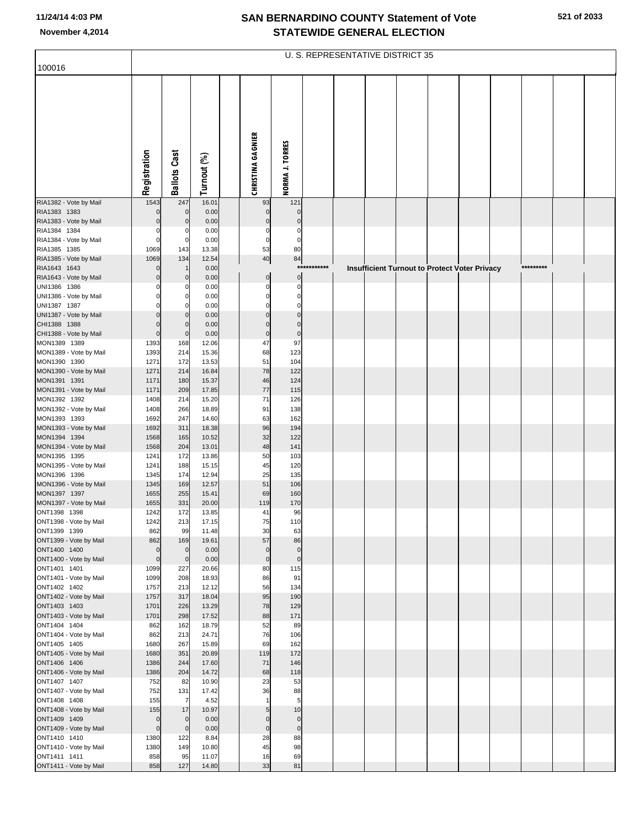|                                        | U. S. REPRESENTATIVE DISTRICT 35 |                         |                |  |                          |                        |              |  |  |  |  |                                               |  |           |  |  |
|----------------------------------------|----------------------------------|-------------------------|----------------|--|--------------------------|------------------------|--------------|--|--|--|--|-----------------------------------------------|--|-----------|--|--|
| 100016                                 |                                  |                         |                |  |                          |                        |              |  |  |  |  |                                               |  |           |  |  |
|                                        | Registration                     | <b>Ballots Cast</b>     | Turnout (%)    |  | <b>CHRISTINA GAGNIER</b> | <b>NORMA J. TORRES</b> |              |  |  |  |  |                                               |  |           |  |  |
| RIA1382 - Vote by Mail                 | 1543                             | 247                     | 16.01          |  | 93                       | 121                    |              |  |  |  |  |                                               |  |           |  |  |
| RIA1383 1383<br>RIA1383 - Vote by Mail |                                  | $\mathbf 0$<br>$\Omega$ | 0.00<br>0.00   |  | $\mathbf 0$<br>C         | $\Omega$               |              |  |  |  |  |                                               |  |           |  |  |
| RIA1384 1384                           | $\Omega$                         |                         | 0.00           |  | 0                        | C                      |              |  |  |  |  |                                               |  |           |  |  |
| RIA1384 - Vote by Mail                 | $\mathbf 0$                      | 0                       | 0.00           |  | $\mathbf 0$              | $\Omega$               |              |  |  |  |  |                                               |  |           |  |  |
| RIA1385 1385<br>RIA1385 - Vote by Mail | 1069<br>1069                     | 143<br>134              | 13.38<br>12.54 |  | 53<br>40                 | 80<br>84               |              |  |  |  |  |                                               |  |           |  |  |
| RIA1643 1643                           | $\Omega$                         |                         | 0.00           |  |                          |                        | ************ |  |  |  |  | Insufficient Turnout to Protect Voter Privacy |  | ********* |  |  |
| RIA1643 - Vote by Mail                 | $\Omega$                         | $\mathbf 0$             | 0.00           |  | $\mathbf 0$              | $\mathbf 0$            |              |  |  |  |  |                                               |  |           |  |  |
| UNI1386 1386                           |                                  |                         | 0.00           |  | C                        | C                      |              |  |  |  |  |                                               |  |           |  |  |
| UNI1386 - Vote by Mail<br>UNI1387 1387 |                                  |                         | 0.00<br>0.00   |  | O                        | $\Omega$<br>C          |              |  |  |  |  |                                               |  |           |  |  |
| UNI1387 - Vote by Mail                 |                                  | $\Omega$                | 0.00           |  | $\mathcal{C}$            | $\mathsf{C}$           |              |  |  |  |  |                                               |  |           |  |  |
| CHI1388 1388                           | $\Omega$                         | $\Omega$                | 0.00           |  | C                        | $\mathsf{C}$           |              |  |  |  |  |                                               |  |           |  |  |
| CHI1388 - Vote by Mail<br>MON1389 1389 | $\mathbf 0$                      | $\mathbf 0$             | 0.00           |  | $\mathbf 0$              | $\mathbf 0$            |              |  |  |  |  |                                               |  |           |  |  |
| MON1389 - Vote by Mail                 | 1393<br>1393                     | 168<br>214              | 12.06<br>15.36 |  | 47<br>68                 | 97<br>123              |              |  |  |  |  |                                               |  |           |  |  |
| MON1390 1390                           | 1271                             | 172                     | 13.53          |  | 51                       | 104                    |              |  |  |  |  |                                               |  |           |  |  |
| MON1390 - Vote by Mail                 | 1271                             | 214                     | 16.84          |  | 78                       | 122                    |              |  |  |  |  |                                               |  |           |  |  |
| MON1391 1391<br>MON1391 - Vote by Mail | 1171<br>1171                     | 180<br>209              | 15.37<br>17.85 |  | 46<br>77                 | 124<br>115             |              |  |  |  |  |                                               |  |           |  |  |
| MON1392 1392                           | 1408                             | 214                     | 15.20          |  | 71                       | 126                    |              |  |  |  |  |                                               |  |           |  |  |
| MON1392 - Vote by Mail                 | 1408                             | 266                     | 18.89          |  | 91                       | 138                    |              |  |  |  |  |                                               |  |           |  |  |
| MON1393 1393                           | 1692<br>1692                     | 247                     | 14.60<br>18.38 |  | 63<br>96                 | 162<br>194             |              |  |  |  |  |                                               |  |           |  |  |
| MON1393 - Vote by Mail<br>MON1394 1394 | 1568                             | 311<br>165              | 10.52          |  | 32                       | 122                    |              |  |  |  |  |                                               |  |           |  |  |
| MON1394 - Vote by Mail                 | 1568                             | 204                     | 13.01          |  | 48                       | 141                    |              |  |  |  |  |                                               |  |           |  |  |
| MON1395 1395                           | 1241                             | 172                     | 13.86          |  | 50                       | 103                    |              |  |  |  |  |                                               |  |           |  |  |
| MON1395 - Vote by Mail<br>MON1396 1396 | 1241<br>1345                     | 188<br>174              | 15.15<br>12.94 |  | 45<br>25                 | 120<br>135             |              |  |  |  |  |                                               |  |           |  |  |
| MON1396 - Vote by Mail                 | 1345                             | 169                     | 12.57          |  | 51                       | 106                    |              |  |  |  |  |                                               |  |           |  |  |
| MON1397 1397                           | 1655                             | 255                     | 15.41          |  | 69                       | 160                    |              |  |  |  |  |                                               |  |           |  |  |
| MON1397 - Vote by Mail<br>ONT1398 1398 | 1655<br>1242                     | 331<br>172              | 20.00<br>13.85 |  | 119<br>41                | 170<br>96              |              |  |  |  |  |                                               |  |           |  |  |
| ONT1398 - Vote by Mail                 | 1242                             | 213                     | 17.15          |  | 75                       | 110                    |              |  |  |  |  |                                               |  |           |  |  |
| ONT1399 1399                           | 862                              | 99                      | 11.48          |  | 30                       | 63                     |              |  |  |  |  |                                               |  |           |  |  |
| ONT1399 - Vote by Mail<br>ONT1400 1400 | 862<br>$\mathbf 0$               | 169<br>$\mathbf 0$      | 19.61<br>0.00  |  | 57<br>$\mathbf 0$        | 86<br>$\mathbf 0$      |              |  |  |  |  |                                               |  |           |  |  |
| ONT1400 - Vote by Mail                 | $\mathbf 0$                      | $\mathbf 0$             | 0.00           |  | $\pmb{0}$                | $\mathbf 0$            |              |  |  |  |  |                                               |  |           |  |  |
| ONT1401 1401                           | 1099                             | 227                     | 20.66          |  | 80                       | 115                    |              |  |  |  |  |                                               |  |           |  |  |
| ONT1401 - Vote by Mail                 | 1099                             | 208                     | 18.93          |  | 86                       | 91                     |              |  |  |  |  |                                               |  |           |  |  |
| ONT1402 1402<br>ONT1402 - Vote by Mail | 1757<br>1757                     | 213<br>317              | 12.12<br>18.04 |  | 56<br>95                 | 134<br>190             |              |  |  |  |  |                                               |  |           |  |  |
| ONT1403 1403                           | 1701                             | 226                     | 13.29          |  | 78                       | 129                    |              |  |  |  |  |                                               |  |           |  |  |
| ONT1403 - Vote by Mail                 | 1701                             | 298                     | 17.52          |  | 88                       | 171                    |              |  |  |  |  |                                               |  |           |  |  |
| ONT1404 1404<br>ONT1404 - Vote by Mail | 862<br>862                       | 162<br>213              | 18.79<br>24.71 |  | 52<br>76                 | 89<br>106              |              |  |  |  |  |                                               |  |           |  |  |
| ONT1405 1405                           | 1680                             | 267                     | 15.89          |  | 69                       | 162                    |              |  |  |  |  |                                               |  |           |  |  |
| ONT1405 - Vote by Mail                 | 1680                             | 351                     | 20.89          |  | 119                      | 172                    |              |  |  |  |  |                                               |  |           |  |  |
| ONT1406 1406<br>ONT1406 - Vote by Mail | 1386<br>1386                     | 244<br>204              | 17.60<br>14.72 |  | 71<br>68                 | 146<br>118             |              |  |  |  |  |                                               |  |           |  |  |
| ONT1407 1407                           | 752                              | 82                      | 10.90          |  | 23                       | 53                     |              |  |  |  |  |                                               |  |           |  |  |
| ONT1407 - Vote by Mail                 | 752                              | 131                     | 17.42          |  | 36                       | 88                     |              |  |  |  |  |                                               |  |           |  |  |
| ONT1408 1408                           | 155                              | $\overline{7}$          | 4.52           |  | $\mathbf{1}$             | 5                      |              |  |  |  |  |                                               |  |           |  |  |
| ONT1408 - Vote by Mail<br>ONT1409 1409 | 155<br>$\mathbf 0$               | 17<br>$\mathbf 0$       | 10.97<br>0.00  |  | 5<br>$\Omega$            | 10<br>$\mathbf 0$      |              |  |  |  |  |                                               |  |           |  |  |
| ONT1409 - Vote by Mail                 | $\mathbf 0$                      | $\mathbf 0$             | 0.00           |  | $\pmb{0}$                | $\pmb{0}$              |              |  |  |  |  |                                               |  |           |  |  |
| ONT1410 1410                           | 1380                             | 122                     | 8.84           |  | 28                       | 88                     |              |  |  |  |  |                                               |  |           |  |  |
| ONT1410 - Vote by Mail<br>ONT1411 1411 | 1380                             | 149                     | 10.80<br>11.07 |  | 45<br>16                 | 98<br>69               |              |  |  |  |  |                                               |  |           |  |  |
| ONT1411 - Vote by Mail                 | 858<br>858                       | 95<br>127               | 14.80          |  | 33                       | 81                     |              |  |  |  |  |                                               |  |           |  |  |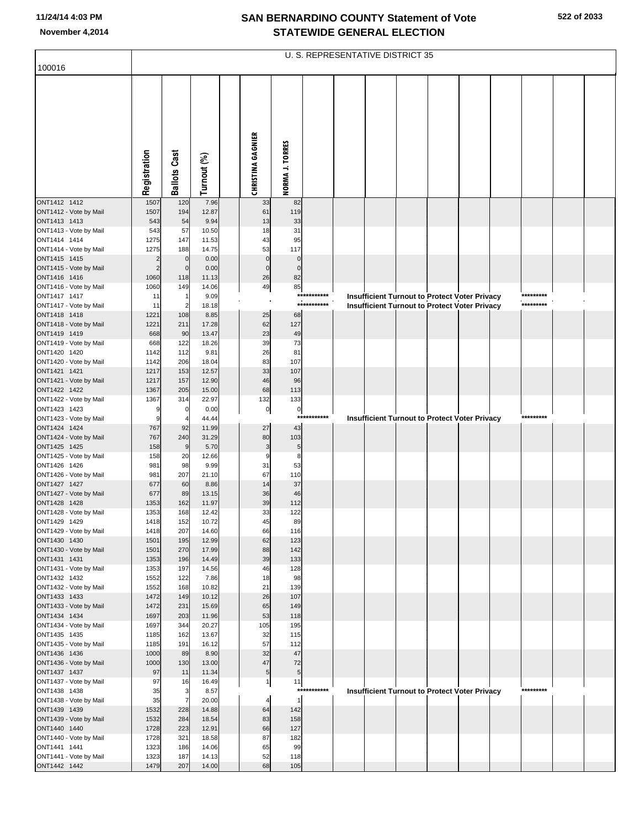| 100016                                 | U. S. REPRESENTATIVE DISTRICT 35 |                       |                |  |                          |                        |                            |  |  |  |  |                                                      |  |           |  |  |
|----------------------------------------|----------------------------------|-----------------------|----------------|--|--------------------------|------------------------|----------------------------|--|--|--|--|------------------------------------------------------|--|-----------|--|--|
|                                        |                                  |                       |                |  |                          |                        |                            |  |  |  |  |                                                      |  |           |  |  |
|                                        | Registration                     | <b>Ballots Cast</b>   | Turnout (%)    |  | <b>CHRISTINA GAGNIER</b> | <b>NORMA J. TORRES</b> |                            |  |  |  |  |                                                      |  |           |  |  |
|                                        |                                  |                       |                |  |                          |                        |                            |  |  |  |  |                                                      |  |           |  |  |
| ONT1412 1412                           | 1507                             | 120                   | 7.96           |  | 33                       | 82                     |                            |  |  |  |  |                                                      |  |           |  |  |
| ONT1412 - Vote by Mail                 | 1507                             | 194                   | 12.87          |  | 61                       | 119                    |                            |  |  |  |  |                                                      |  |           |  |  |
| ONT1413 1413                           | 543                              | 54                    | 9.94           |  | 13                       | 33                     |                            |  |  |  |  |                                                      |  |           |  |  |
| ONT1413 - Vote by Mail<br>ONT1414 1414 | 543<br>1275                      | 57<br>147             | 10.50<br>11.53 |  | 18<br>43                 | 31<br>95               |                            |  |  |  |  |                                                      |  |           |  |  |
| ONT1414 - Vote by Mail                 | 1275                             | 188                   | 14.75          |  | 53                       | 117                    |                            |  |  |  |  |                                                      |  |           |  |  |
| ONT1415 1415                           | $\overline{2}$                   | $\mathbf{0}$          | 0.00           |  | $\mathbf 0$              | $\mathbf 0$            |                            |  |  |  |  |                                                      |  |           |  |  |
| ONT1415 - Vote by Mail<br>ONT1416 1416 | $\overline{2}$<br>1060           | $\mathbf 0$<br>118    | 0.00<br>11.13  |  | $\overline{0}$<br>26     | $\mathbf 0$<br>82      |                            |  |  |  |  |                                                      |  |           |  |  |
| ONT1416 - Vote by Mail                 | 1060                             | 149                   | 14.06          |  | 49                       | 85                     |                            |  |  |  |  |                                                      |  |           |  |  |
| ONT1417 1417                           | 11                               | -1                    | 9.09           |  |                          |                        | ***********<br>*********** |  |  |  |  | <b>Insufficient Turnout to Protect Voter Privacy</b> |  | ********* |  |  |
| ONT1417 - Vote by Mail<br>ONT1418 1418 | 11<br>1221                       | $\overline{2}$<br>108 | 18.18<br>8.85  |  | 25                       | 68                     |                            |  |  |  |  | Insufficient Turnout to Protect Voter Privacy        |  | ********* |  |  |
| ONT1418 - Vote by Mail                 | 1221                             | 211                   | 17.28          |  | 62                       | 127                    |                            |  |  |  |  |                                                      |  |           |  |  |
| ONT1419 1419                           | 668                              | 90                    | 13.47          |  | 23                       | 49                     |                            |  |  |  |  |                                                      |  |           |  |  |
| ONT1419 - Vote by Mail<br>ONT1420 1420 | 668<br>1142                      | 122<br>112            | 18.26<br>9.81  |  | 39<br>26                 | 73<br>81               |                            |  |  |  |  |                                                      |  |           |  |  |
| ONT1420 - Vote by Mail                 | 1142                             | 206                   | 18.04          |  | 83                       | 107                    |                            |  |  |  |  |                                                      |  |           |  |  |
| ONT1421 1421                           | 1217                             | 153                   | 12.57          |  | 33                       | 107                    |                            |  |  |  |  |                                                      |  |           |  |  |
| ONT1421 - Vote by Mail                 | 1217<br>1367                     | 157                   | 12.90          |  | 46<br>68                 | 96<br>113              |                            |  |  |  |  |                                                      |  |           |  |  |
| ONT1422 1422<br>ONT1422 - Vote by Mail | 1367                             | 205<br>314            | 15.00<br>22.97 |  | 132                      | 133                    |                            |  |  |  |  |                                                      |  |           |  |  |
| ONT1423 1423                           | g                                | 0                     | 0.00           |  | $\overline{0}$           | $\mathbf 0$            |                            |  |  |  |  |                                                      |  |           |  |  |
| ONT1423 - Vote by Mail                 | 9                                |                       | 44.44          |  |                          | ***                    | *******                    |  |  |  |  | <b>Insufficient Turnout to Protect Voter Privacy</b> |  | ********* |  |  |
| ONT1424 1424<br>ONT1424 - Vote by Mail | 767<br>767                       | 92<br>240             | 11.99<br>31.29 |  | 27<br>80                 | 43<br>103              |                            |  |  |  |  |                                                      |  |           |  |  |
| ONT1425 1425                           | 158                              | 9                     | 5.70           |  | 3                        | 5                      |                            |  |  |  |  |                                                      |  |           |  |  |
| ONT1425 - Vote by Mail                 | 158                              | 20                    | 12.66          |  | 9                        | 8                      |                            |  |  |  |  |                                                      |  |           |  |  |
| ONT1426 1426<br>ONT1426 - Vote by Mail | 981<br>981                       | 98<br>207             | 9.99<br>21.10  |  | 31<br>67                 | 53<br>110              |                            |  |  |  |  |                                                      |  |           |  |  |
| ONT1427 1427                           | 677                              | 60                    | 8.86           |  | 14                       | 37                     |                            |  |  |  |  |                                                      |  |           |  |  |
| ONT1427 - Vote by Mail                 | 677                              | 89                    | 13.15          |  | 36                       | 46                     |                            |  |  |  |  |                                                      |  |           |  |  |
| ONT1428 1428<br>ONT1428 - Vote by Mail | 1353<br>1353                     | 162<br>168            | 11.97<br>12.42 |  | 39<br>33                 | 112<br>122             |                            |  |  |  |  |                                                      |  |           |  |  |
| ONT1429 1429                           | 1418                             | 152                   | 10.72          |  | 45                       | 89                     |                            |  |  |  |  |                                                      |  |           |  |  |
| ONT1429 - Vote by Mail                 | 1418                             | 207                   | 14.60          |  | 66                       | 116                    |                            |  |  |  |  |                                                      |  |           |  |  |
| ONT1430 1430<br>ONT1430 - Vote by Mail | 1501<br>1501                     | 195<br>270            | 12.99<br>17.99 |  | 62<br>88                 | 123<br>142             |                            |  |  |  |  |                                                      |  |           |  |  |
| ONT1431 1431                           | 1353                             | 196                   | 14.49          |  | 39                       | 133                    |                            |  |  |  |  |                                                      |  |           |  |  |
| ONT1431 - Vote by Mail                 | 1353                             | 197                   | 14.56          |  | 46                       | 128                    |                            |  |  |  |  |                                                      |  |           |  |  |
| ONT1432 1432                           | 1552<br>1552                     | 122<br>168            | 7.86<br>10.82  |  | 18<br>21                 | 98<br>139              |                            |  |  |  |  |                                                      |  |           |  |  |
| ONT1432 - Vote by Mail<br>ONT1433 1433 | 1472                             | 149                   | 10.12          |  | 26                       | 107                    |                            |  |  |  |  |                                                      |  |           |  |  |
| ONT1433 - Vote by Mail                 | 1472                             | 231                   | 15.69          |  | 65                       | 149                    |                            |  |  |  |  |                                                      |  |           |  |  |
| ONT1434 1434                           | 1697                             | 203                   | 11.96          |  | 53                       | 118                    |                            |  |  |  |  |                                                      |  |           |  |  |
| ONT1434 - Vote by Mail<br>ONT1435 1435 | 1697<br>1185                     | 344<br>162            | 20.27<br>13.67 |  | 105<br>32                | 195<br>115             |                            |  |  |  |  |                                                      |  |           |  |  |
| ONT1435 - Vote by Mail                 | 1185                             | 191                   | 16.12          |  | 57                       | 112                    |                            |  |  |  |  |                                                      |  |           |  |  |
| ONT1436 1436                           | 1000                             | 89                    | 8.90           |  | 32                       | 47                     |                            |  |  |  |  |                                                      |  |           |  |  |
| ONT1436 - Vote by Mail<br>ONT1437 1437 | 1000<br>97                       | 130<br>11             | 13.00<br>11.34 |  | 47<br>$5\overline{)}$    | 72<br>$5\phantom{.0}$  |                            |  |  |  |  |                                                      |  |           |  |  |
| ONT1437 - Vote by Mail                 | 97                               | 16                    | 16.49          |  | 1                        | 11                     |                            |  |  |  |  |                                                      |  |           |  |  |
| ONT1438 1438                           | 35                               | 3                     | 8.57           |  |                          |                        | ***********                |  |  |  |  | Insufficient Turnout to Protect Voter Privacy        |  | ********* |  |  |
| ONT1438 - Vote by Mail<br>ONT1439 1439 | 35<br>1532                       | 228                   | 20.00<br>14.88 |  | $\overline{4}$<br>64     | $\mathbf{1}$<br>142    |                            |  |  |  |  |                                                      |  |           |  |  |
| ONT1439 - Vote by Mail                 | 1532                             | 284                   | 18.54          |  | 83                       | 158                    |                            |  |  |  |  |                                                      |  |           |  |  |
| ONT1440 1440                           | 1728                             | 223                   | 12.91          |  | 66                       | 127                    |                            |  |  |  |  |                                                      |  |           |  |  |
| ONT1440 - Vote by Mail<br>ONT1441 1441 | 1728<br>1323                     | 321<br>186            | 18.58<br>14.06 |  | 87<br>65                 | 182<br>99              |                            |  |  |  |  |                                                      |  |           |  |  |
| ONT1441 - Vote by Mail                 | 1323                             | 187                   | 14.13          |  | 52                       | 118                    |                            |  |  |  |  |                                                      |  |           |  |  |
| ONT1442 1442                           | 1479                             | 207                   | 14.00          |  | 68                       | 105                    |                            |  |  |  |  |                                                      |  |           |  |  |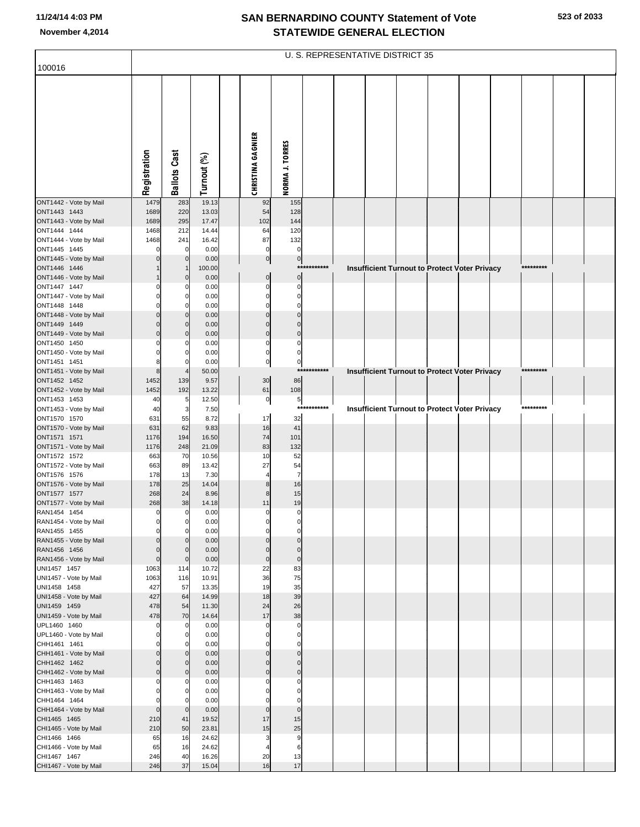|                                        |                    |                                |                |                          |                               |             | U. S. REPRESENTATIVE DISTRICT 35 |  |                                                      |           |  |
|----------------------------------------|--------------------|--------------------------------|----------------|--------------------------|-------------------------------|-------------|----------------------------------|--|------------------------------------------------------|-----------|--|
| 100016                                 |                    |                                |                |                          |                               |             |                                  |  |                                                      |           |  |
|                                        | Registration       | <b>Ballots Cast</b>            | Turnout (%)    | <b>CHRISTINA GAGNIER</b> | <b>NORMA J. TORRES</b>        |             |                                  |  |                                                      |           |  |
| ONT1442 - Vote by Mail                 | 1479               | 283                            | 19.13          | 92                       | 155                           |             |                                  |  |                                                      |           |  |
| ONT1443 1443<br>ONT1443 - Vote by Mail | 1689<br>1689       | 220<br>295                     | 13.03<br>17.47 | 54<br>102                | 128<br>144                    |             |                                  |  |                                                      |           |  |
| ONT1444 1444                           | 1468               | 212                            | 14.44          | 64                       | 120                           |             |                                  |  |                                                      |           |  |
| ONT1444 - Vote by Mail                 | 1468               | 241                            | 16.42          | 87                       | 132                           |             |                                  |  |                                                      |           |  |
| ONT1445 1445                           |                    | $\Omega$                       | 0.00           | $\mathbf 0$              | $\overline{0}$                |             |                                  |  |                                                      |           |  |
| ONT1445 - Vote by Mail<br>ONT1446 1446 |                    | $\mathbf{0}$                   | 0.00<br>100.00 | $\overline{0}$           | 0                             | *********** |                                  |  | <b>Insufficient Turnout to Protect Voter Privacy</b> | ********* |  |
| ONT1446 - Vote by Mail                 |                    | $\mathbf{0}$                   | 0.00           | $\overline{0}$           | $\mathbf{0}$                  |             |                                  |  |                                                      |           |  |
| ONT1447 1447                           |                    | $\Omega$                       | 0.00           | $\Omega$                 | $\mathbf 0$                   |             |                                  |  |                                                      |           |  |
| ONT1447 - Vote by Mail<br>ONT1448 1448 |                    | 0<br>$\Omega$                  | 0.00<br>0.00   | $\Omega$<br>$\Omega$     | $\mathbf 0$<br>$\Omega$       |             |                                  |  |                                                      |           |  |
| ONT1448 - Vote by Mail                 |                    | $\mathbf{0}$                   | 0.00           | $\Omega$                 | $\mathbf 0$                   |             |                                  |  |                                                      |           |  |
| ONT1449 1449                           |                    | $\overline{0}$                 | 0.00           | $\Omega$                 | $\mathbf 0$                   |             |                                  |  |                                                      |           |  |
| ONT1449 - Vote by Mail                 |                    | $\overline{0}$                 | 0.00           | $\mathbf{0}$             | $\mathbf 0$                   |             |                                  |  |                                                      |           |  |
| ONT1450 1450<br>ONT1450 - Vote by Mail |                    | $\Omega$<br>0                  | 0.00<br>0.00   | $\Omega$<br>$\Omega$     | $\mathbf 0$<br>$\mathbf 0$    |             |                                  |  |                                                      |           |  |
| ONT1451 1451                           |                    | $\Omega$                       | 0.00           | $\mathbf 0$              | $\mathbf{0}$                  |             |                                  |  |                                                      |           |  |
| ONT1451 - Vote by Mail                 | 8                  |                                | 50.00          |                          |                               | *********** |                                  |  | Insufficient Turnout to Protect Voter Privacy        | ********* |  |
| ONT1452 1452<br>ONT1452 - Vote by Mail | 1452<br>1452       | 139<br>192                     | 9.57<br>13.22  | 30<br>61                 | 86<br>108                     |             |                                  |  |                                                      |           |  |
| ONT1453 1453                           | 40                 | 5                              | 12.50          | $\overline{0}$           | $5\overline{)}$               |             |                                  |  |                                                      |           |  |
| ONT1453 - Vote by Mail                 | 40                 | 3                              | 7.50           |                          |                               | *********** |                                  |  | Insufficient Turnout to Protect Voter Privacy        | ********* |  |
| ONT1570 1570                           | 631                | 55                             | 8.72           | 17                       | 32                            |             |                                  |  |                                                      |           |  |
| ONT1570 - Vote by Mail<br>ONT1571 1571 | 631<br>1176        | 62<br>194                      | 9.83<br>16.50  | 16<br>74                 | 41<br>101                     |             |                                  |  |                                                      |           |  |
| ONT1571 - Vote by Mail                 | 1176               | 248                            | 21.09          | 83                       | 132                           |             |                                  |  |                                                      |           |  |
| ONT1572 1572                           | 663                | 70                             | 10.56          | 10                       | 52                            |             |                                  |  |                                                      |           |  |
| ONT1572 - Vote by Mail<br>ONT1576 1576 | 663<br>178         | 89<br>13                       | 13.42<br>7.30  | 27                       | 54<br>$\overline{7}$          |             |                                  |  |                                                      |           |  |
| ONT1576 - Vote by Mail                 | 178                | 25                             | 14.04          | 8                        | 16                            |             |                                  |  |                                                      |           |  |
| ONT1577 1577                           | 268                | 24                             | 8.96           | 8                        | 15                            |             |                                  |  |                                                      |           |  |
| ONT1577 - Vote by Mail<br>RAN1454 1454 | 268<br>$\mathbf 0$ | 38<br>$\mathbf 0$              | 14.18<br>0.00  | 11<br>$\Omega$           | 19<br>$\overline{0}$          |             |                                  |  |                                                      |           |  |
| RAN1454 - Vote by Mail                 |                    | $\overline{0}$                 | 0.00           | $\Omega$                 | 0                             |             |                                  |  |                                                      |           |  |
| RAN1455 1455                           |                    | $\Omega$                       | 0.00           | $\Omega$                 | $\mathbf 0$                   |             |                                  |  |                                                      |           |  |
| RAN1455 - Vote by Mail                 |                    | $\Omega$                       | 0.00           | $\Omega$                 | $\overline{0}$                |             |                                  |  |                                                      |           |  |
| RAN1456 1456<br>RAN1456 - Vote by Mail | $\mathbf 0$        | $\mathbf{0}$<br>$\overline{0}$ | 0.00<br>0.00   | $\Omega$<br>$\mathbf 0$  | $\mathbf 0$<br>$\overline{0}$ |             |                                  |  |                                                      |           |  |
| UNI1457 1457                           | 1063               | 114                            | 10.72          | 22                       | 83                            |             |                                  |  |                                                      |           |  |
| UNI1457 - Vote by Mail                 | 1063               | 116                            | 10.91          | 36                       | 75                            |             |                                  |  |                                                      |           |  |
| UNI1458 1458<br>UNI1458 - Vote by Mail | 427<br>427         | 57<br>64                       | 13.35<br>14.99 | 19<br>18                 | 35<br>39                      |             |                                  |  |                                                      |           |  |
| UNI1459 1459                           | 478                | 54                             | 11.30          | 24                       | 26                            |             |                                  |  |                                                      |           |  |
| UNI1459 - Vote by Mail                 | 478                | 70                             | 14.64          | 17                       | 38                            |             |                                  |  |                                                      |           |  |
| UPL1460 1460<br>UPL1460 - Vote by Mail | ſ                  | $\mathbf 0$<br>0               | 0.00<br>0.00   | $\Omega$<br>$\Omega$     | $\mathbf 0$<br>$\mathbf 0$    |             |                                  |  |                                                      |           |  |
| CHH1461 1461                           |                    | $\Omega$                       | 0.00           | O                        | $\mathbf 0$                   |             |                                  |  |                                                      |           |  |
| CHH1461 - Vote by Mail                 |                    | $\mathbf{0}$                   | 0.00           | $\Omega$                 | $\overline{0}$                |             |                                  |  |                                                      |           |  |
| CHH1462 1462                           |                    | $\overline{0}$                 | 0.00           | $\Omega$                 | $\mathbf 0$                   |             |                                  |  |                                                      |           |  |
| CHH1462 - Vote by Mail<br>CHH1463 1463 | $\Omega$           | $\overline{0}$<br>0            | 0.00<br>0.00   | $\mathbf{0}$<br>C        | $\mathbf 0$<br>$\mathbf 0$    |             |                                  |  |                                                      |           |  |
| CHH1463 - Vote by Mail                 |                    | 0                              | 0.00           |                          | $\mathbf 0$                   |             |                                  |  |                                                      |           |  |
| CHH1464 1464                           |                    | O                              | 0.00           |                          | $\Omega$                      |             |                                  |  |                                                      |           |  |
| CHH1464 - Vote by Mail<br>CHI1465 1465 | $\mathbf 0$<br>210 | $\mathbf 0$<br>41              | 0.00<br>19.52  | $\mathbf 0$<br>17        | $\overline{0}$<br>15          |             |                                  |  |                                                      |           |  |
| CHI1465 - Vote by Mail                 | 210                | 50                             | 23.81          | 15                       | 25                            |             |                                  |  |                                                      |           |  |
| CHI1466 1466                           | 65                 | 16                             | 24.62          | 3                        | 9                             |             |                                  |  |                                                      |           |  |
| CHI1466 - Vote by Mail                 | 65                 | 16<br>40                       | 24.62<br>16.26 | 20                       | 6<br>13                       |             |                                  |  |                                                      |           |  |
| CHI1467 1467<br>CHI1467 - Vote by Mail | 246<br>246         | 37                             | 15.04          | 16                       | 17                            |             |                                  |  |                                                      |           |  |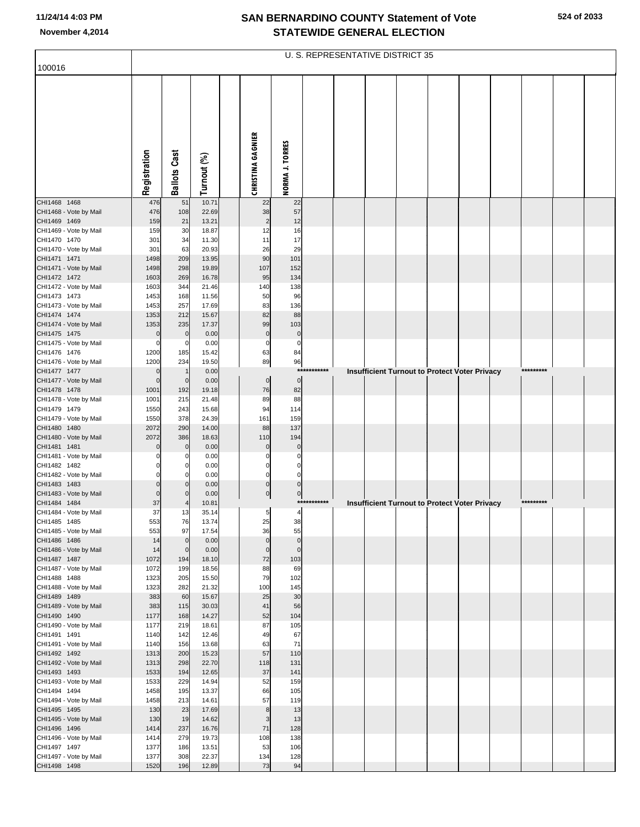| 100016                                 |                |                     |                |                          |                   |              | U. S. REPRESENTATIVE DISTRICT 35 |  |                                                      |           |  |
|----------------------------------------|----------------|---------------------|----------------|--------------------------|-------------------|--------------|----------------------------------|--|------------------------------------------------------|-----------|--|
|                                        |                |                     |                |                          |                   |              |                                  |  |                                                      |           |  |
|                                        | Registration   | <b>Ballots Cast</b> | Turnout (%)    | <b>CHRISTINA GAGNIER</b> | NORMA J. TORRES   |              |                                  |  |                                                      |           |  |
| CHI1468 1468<br>CHI1468 - Vote by Mail | 476<br>476     | 51<br>108           | 10.71<br>22.69 | 22<br>38                 | 22<br>57          |              |                                  |  |                                                      |           |  |
| CHI1469 1469                           | 159            | 21                  | 13.21          | $\overline{c}$           | 12                |              |                                  |  |                                                      |           |  |
| CHI1469 - Vote by Mail                 | 159            | 30                  | 18.87          | 12                       | 16                |              |                                  |  |                                                      |           |  |
| CHI1470 1470<br>CHI1470 - Vote by Mail | 301<br>301     | 34<br>63            | 11.30<br>20.93 | 11<br>26                 | 17<br>29          |              |                                  |  |                                                      |           |  |
| CHI1471 1471                           | 1498           | 209                 | 13.95          | 90                       | 101               |              |                                  |  |                                                      |           |  |
| CHI1471 - Vote by Mail                 | 1498           | 298                 | 19.89          | 107                      | 152               |              |                                  |  |                                                      |           |  |
| CHI1472 1472<br>CHI1472 - Vote by Mail | 1603<br>1603   | 269<br>344          | 16.78<br>21.46 | 95<br>140                | 134<br>138        |              |                                  |  |                                                      |           |  |
| CHI1473 1473                           | 1453           | 168                 | 11.56          | 50                       | 96                |              |                                  |  |                                                      |           |  |
| CHI1473 - Vote by Mail                 | 1453           | 257                 | 17.69          | 83                       | 136               |              |                                  |  |                                                      |           |  |
| CHI1474 1474<br>CHI1474 - Vote by Mail | 1353<br>1353   | 212<br>235          | 15.67<br>17.37 | 82<br>99                 | 88<br>103         |              |                                  |  |                                                      |           |  |
| CHI1475 1475                           | $\mathbf 0$    | $\mathbf 0$         | 0.00           | $\mathbf 0$              | $\pmb{0}$         |              |                                  |  |                                                      |           |  |
| CHI1475 - Vote by Mail                 | 0              | $\Omega$            | 0.00           | $\mathbf 0$              | $\mathbf 0$       |              |                                  |  |                                                      |           |  |
| CHI1476 1476<br>CHI1476 - Vote by Mail | 1200<br>1200   | 185<br>234          | 15.42<br>19.50 | 63<br>89                 | 84<br>96          |              |                                  |  |                                                      |           |  |
| CHI1477 1477                           | $\mathbf 0$    |                     | 0.00           |                          | ***               | *******      |                                  |  | <b>Insufficient Turnout to Protect Voter Privacy</b> | ********* |  |
| CHI1477 - Vote by Mail                 | $\Omega$       | $\mathbf{0}$        | 0.00           | $\pmb{0}$                | $\mathbf 0$       |              |                                  |  |                                                      |           |  |
| CHI1478 1478<br>CHI1478 - Vote by Mail | 1001<br>1001   | 192<br>215          | 19.18<br>21.48 | 76<br>89                 | 82<br>88          |              |                                  |  |                                                      |           |  |
| CHI1479 1479                           | 1550           | 243                 | 15.68          | 94                       | 114               |              |                                  |  |                                                      |           |  |
| CHI1479 - Vote by Mail                 | 1550           | 378                 | 24.39          | 161                      | 159               |              |                                  |  |                                                      |           |  |
| CHI1480 1480<br>CHI1480 - Vote by Mail | 2072<br>2072   | 290<br>386          | 14.00<br>18.63 | 88<br>110                | 137<br>194        |              |                                  |  |                                                      |           |  |
| CHI1481 1481                           |                | $\mathbf 0$         | 0.00           | $\mathbf 0$              | $\mathbf 0$       |              |                                  |  |                                                      |           |  |
| CHI1481 - Vote by Mail                 |                |                     | 0.00           | $\Omega$                 | 0                 |              |                                  |  |                                                      |           |  |
| CHI1482 1482<br>CHI1482 - Vote by Mail |                | 0                   | 0.00<br>0.00   | $\Omega$<br>$\mathbf 0$  | 0<br>$\mathbf 0$  |              |                                  |  |                                                      |           |  |
| CHI1483 1483                           |                | $\mathbf{0}$        | 0.00           | $\mathbf 0$              | $\mathbf 0$       |              |                                  |  |                                                      |           |  |
| CHI1483 - Vote by Mail                 | $\Omega$<br>37 | $\mathbf{0}$        | 0.00           | $\overline{0}$           | $\pmb{0}$         | ************ |                                  |  |                                                      | ********* |  |
| CHI1484 1484<br>CHI1484 - Vote by Mail | 37             | 13                  | 10.81<br>35.14 | 5                        | 4                 |              |                                  |  | <b>Insufficient Turnout to Protect Voter Privacy</b> |           |  |
| CHI1485 1485                           | 553            | 76                  | 13.74          | 25                       | 38                |              |                                  |  |                                                      |           |  |
| CHI1485 - Vote by Mail<br>CHI1486 1486 | 553<br>14      | 97<br>$\mathbf 0$   | 17.54<br>0.00  | 36<br>$\Omega$           | 55<br>$\mathbf 0$ |              |                                  |  |                                                      |           |  |
| CHI1486 - Vote by Mail                 | 14             | $\Omega$            | 0.00           | $\Omega$                 | $\mathbf 0$       |              |                                  |  |                                                      |           |  |
| CHI1487 1487                           | 1072           | 194                 | 18.10          | 72                       | 103               |              |                                  |  |                                                      |           |  |
| CHI1487 - Vote by Mail<br>CHI1488 1488 | 1072<br>1323   | 199<br>205          | 18.56<br>15.50 | 88<br>79                 | 69<br>102         |              |                                  |  |                                                      |           |  |
| CHI1488 - Vote by Mail                 | 1323           | 282                 | 21.32          | 100                      | 145               |              |                                  |  |                                                      |           |  |
| CHI1489 1489                           | 383            | 60                  | 15.67          | 25                       | 30                |              |                                  |  |                                                      |           |  |
| CHI1489 - Vote by Mail<br>CHI1490 1490 | 383<br>1177    | 115<br>168          | 30.03<br>14.27 | 41<br>52                 | 56<br>104         |              |                                  |  |                                                      |           |  |
| CHI1490 - Vote by Mail                 | 1177           | 219                 | 18.61          | 87                       | 105               |              |                                  |  |                                                      |           |  |
| CHI1491 1491                           | 1140           | 142                 | 12.46          | 49                       | 67                |              |                                  |  |                                                      |           |  |
| CHI1491 - Vote by Mail<br>CHI1492 1492 | 1140<br>1313   | 156<br>200          | 13.68<br>15.23 | 63<br>57                 | 71<br>110         |              |                                  |  |                                                      |           |  |
| CHI1492 - Vote by Mail                 | 1313           | 298                 | 22.70          | 118                      | 131               |              |                                  |  |                                                      |           |  |
| CHI1493 1493                           | 1533           | 194                 | 12.65          | 37                       | 141               |              |                                  |  |                                                      |           |  |
| CHI1493 - Vote by Mail<br>CHI1494 1494 | 1533<br>1458   | 229<br>195          | 14.94<br>13.37 | 52<br>66                 | 159<br>105        |              |                                  |  |                                                      |           |  |
| CHI1494 - Vote by Mail                 | 1458           | 213                 | 14.61          | 57                       | 119               |              |                                  |  |                                                      |           |  |
| CHI1495 1495                           | 130            | 23                  | 17.69          | 8                        | 13                |              |                                  |  |                                                      |           |  |
| CHI1495 - Vote by Mail<br>CHI1496 1496 | 130<br>1414    | 19<br>237           | 14.62<br>16.76 | 3<br>71                  | 13<br>128         |              |                                  |  |                                                      |           |  |
| CHI1496 - Vote by Mail                 | 1414           | 279                 | 19.73          | 108                      | 138               |              |                                  |  |                                                      |           |  |
| CHI1497 1497                           | 1377           | 186                 | 13.51          | 53                       | 106               |              |                                  |  |                                                      |           |  |
| CHI1497 - Vote by Mail<br>CHI1498 1498 | 1377<br>1520   | 308<br>196          | 22.37<br>12.89 | 134<br>73                | 128<br>94         |              |                                  |  |                                                      |           |  |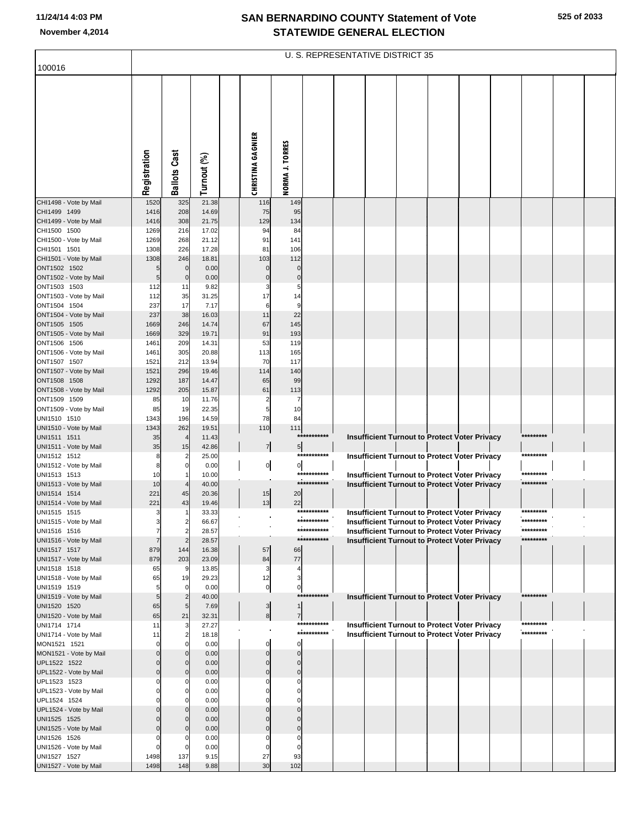**525 of 2033**

|                                        | U. S. REPRESENTATIVE DISTRICT 35 |                                           |                |                          |                     |                            |  |  |  |  |                                                                                                              |  |                        |  |
|----------------------------------------|----------------------------------|-------------------------------------------|----------------|--------------------------|---------------------|----------------------------|--|--|--|--|--------------------------------------------------------------------------------------------------------------|--|------------------------|--|
| 100016                                 |                                  |                                           |                |                          |                     |                            |  |  |  |  |                                                                                                              |  |                        |  |
|                                        | Registration                     | <b>Ballots Cast</b>                       | Turnout (%)    | <b>CHRISTINA GAGNIER</b> | NORMA J. TORRES     |                            |  |  |  |  |                                                                                                              |  |                        |  |
| CHI1498 - Vote by Mail                 | 1520                             | 325                                       | 21.38          | 116                      | 149                 |                            |  |  |  |  |                                                                                                              |  |                        |  |
| CHI1499 1499<br>CHI1499 - Vote by Mail | 1416<br>1416                     | 208<br>308                                | 14.69<br>21.75 | 75<br>129                | 95<br>134           |                            |  |  |  |  |                                                                                                              |  |                        |  |
| CHI1500 1500                           | 1269                             | 216                                       | 17.02          | 94                       | 84                  |                            |  |  |  |  |                                                                                                              |  |                        |  |
| CHI1500 - Vote by Mail                 | 1269                             | 268                                       | 21.12          | 91                       | 141                 |                            |  |  |  |  |                                                                                                              |  |                        |  |
| CHI1501 1501                           | 1308                             | 226                                       | 17.28          | 81                       | 106                 |                            |  |  |  |  |                                                                                                              |  |                        |  |
| CHI1501 - Vote by Mail<br>ONT1502 1502 | 1308<br>5                        | 246<br>$\mathbf{0}$                       | 18.81<br>0.00  | 103<br>$\Omega$          | 112<br>0            |                            |  |  |  |  |                                                                                                              |  |                        |  |
| ONT1502 - Vote by Mail                 | 5                                | $\mathbf 0$                               | 0.00           | $\Omega$                 | $\mathbf 0$         |                            |  |  |  |  |                                                                                                              |  |                        |  |
| ONT1503 1503                           | 112                              | 11                                        | 9.82           | 3                        | 5                   |                            |  |  |  |  |                                                                                                              |  |                        |  |
| ONT1503 - Vote by Mail                 | 112                              | 35                                        | 31.25          | 17                       | 14                  |                            |  |  |  |  |                                                                                                              |  |                        |  |
| ONT1504 1504<br>ONT1504 - Vote by Mail | 237<br>237                       | 17<br>38                                  | 7.17<br>16.03  | 6<br>11                  | 9<br>22             |                            |  |  |  |  |                                                                                                              |  |                        |  |
| ONT1505 1505                           | 1669                             | 246                                       | 14.74          | 67                       | 145                 |                            |  |  |  |  |                                                                                                              |  |                        |  |
| ONT1505 - Vote by Mail                 | 1669                             | 329                                       | 19.71          | 91                       | 193                 |                            |  |  |  |  |                                                                                                              |  |                        |  |
| ONT1506 1506                           | 1461                             | 209                                       | 14.31          | 53                       | 119                 |                            |  |  |  |  |                                                                                                              |  |                        |  |
| ONT1506 - Vote by Mail                 | 1461                             | 305                                       | 20.88          | 113                      | 165                 |                            |  |  |  |  |                                                                                                              |  |                        |  |
| ONT1507 1507<br>ONT1507 - Vote by Mail | 1521<br>1521                     | 212<br>296                                | 13.94<br>19.46 | 70<br>114                | 117<br>140          |                            |  |  |  |  |                                                                                                              |  |                        |  |
| ONT1508 1508                           | 1292                             | 187                                       | 14.47          | 65                       | 99                  |                            |  |  |  |  |                                                                                                              |  |                        |  |
| ONT1508 - Vote by Mail                 | 1292                             | 205                                       | 15.87          | 61                       | 113                 |                            |  |  |  |  |                                                                                                              |  |                        |  |
| ONT1509 1509                           | 85                               | 10                                        | 11.76          | 2                        | 7                   |                            |  |  |  |  |                                                                                                              |  |                        |  |
| ONT1509 - Vote by Mail                 | 85                               | 19                                        | 22.35          | 5                        | 10                  |                            |  |  |  |  |                                                                                                              |  |                        |  |
| UNI1510 1510<br>UNI1510 - Vote by Mail | 1343<br>1343                     | 196<br>262                                | 14.59<br>19.51 | 78<br>110                | 84<br>111           |                            |  |  |  |  |                                                                                                              |  |                        |  |
| UNI1511 1511                           | 35                               | $\overline{4}$                            | 11.43          |                          |                     | ***********                |  |  |  |  | Insufficient Turnout to Protect Voter Privacy                                                                |  | *********              |  |
| UNI1511 - Vote by Mail                 | 35                               | 15                                        | 42.86          | $\frac{7}{ }$            | $5\overline{)}$     |                            |  |  |  |  |                                                                                                              |  |                        |  |
| UNI1512 1512                           | 8                                | $\overline{2}$                            | 25.00          |                          |                     | ***********                |  |  |  |  | <b>Insufficient Turnout to Protect Voter Privacy</b>                                                         |  | *********              |  |
| UNI1512 - Vote by Mail<br>UNI1513 1513 | 8<br>10                          | $\mathbf 0$<br>$\mathbf{1}$               | 0.00<br>10.00  | $\mathbf{0}$             | $\overline{0}$      | ***********                |  |  |  |  | <b>Insufficient Turnout to Protect Voter Privacy</b>                                                         |  | *********              |  |
| UNI1513 - Vote by Mail                 | 10                               | $\overline{4}$                            | 40.00          |                          |                     | ***********                |  |  |  |  | Insufficient Turnout to Protect Voter Privacy                                                                |  | *********              |  |
| UNI1514 1514                           | 221                              | 45                                        | 20.36          | 15                       | 20                  |                            |  |  |  |  |                                                                                                              |  |                        |  |
| UNI1514 - Vote by Mail                 | 221                              | 43                                        | 19.46          | 13                       | 22                  |                            |  |  |  |  |                                                                                                              |  |                        |  |
| UNI1515 1515                           | 3                                | -1                                        | 33.33          |                          |                     | ***********<br>*********** |  |  |  |  | <b>Insufficient Turnout to Protect Voter Privacy</b>                                                         |  | *********<br>********* |  |
| UNI1515 - Vote by Mail<br>UNI1516 1516 | 3<br>$\overline{7}$              | $\overline{\mathbf{c}}$<br>$\overline{2}$ | 66.67<br>28.57 |                          |                     | ***********                |  |  |  |  | <b>Insufficient Turnout to Protect Voter Privacy</b><br><b>Insufficient Turnout to Protect Voter Privacy</b> |  | *********              |  |
| UNI1516 - Vote by Mail                 |                                  | $\overline{2}$                            | 28.57          |                          |                     | ***********                |  |  |  |  | <b>Insufficient Turnout to Protect Voter Privacy</b>                                                         |  | *********              |  |
| UNI1517 1517                           | 879                              | 144                                       | 16.38          | 57                       | 66                  |                            |  |  |  |  |                                                                                                              |  |                        |  |
| UNI1517 - Vote by Mail                 | 879                              | 203                                       | 23.09          | 84                       | 77                  |                            |  |  |  |  |                                                                                                              |  |                        |  |
| UNI1518 1518<br>UNI1518 - Vote by Mail | 65<br>65                         | 9<br>19                                   | 13.85<br>29.23 | 3<br>12                  | $\overline{4}$<br>3 |                            |  |  |  |  |                                                                                                              |  |                        |  |
| UNI1519 1519                           | 5                                | $\mathbf 0$                               | 0.00           | $\pmb{0}$                | 0                   |                            |  |  |  |  |                                                                                                              |  |                        |  |
| UNI1519 - Vote by Mail                 | 5 <sub>5</sub>                   | $\overline{2}$                            | 40.00          |                          |                     | ***********                |  |  |  |  | <b>Insufficient Turnout to Protect Voter Privacy</b>                                                         |  | *********              |  |
| UNI1520 1520                           | 65                               | $\overline{5}$                            | 7.69           | $\mathbf{3}$             | 1                   |                            |  |  |  |  |                                                                                                              |  |                        |  |
| UNI1520 - Vote by Mail<br>UNI1714 1714 | 65<br>11                         | 21<br>3                                   | 32.31<br>27.27 | 8                        | $\overline{7}$      | ***********                |  |  |  |  | <b>Insufficient Turnout to Protect Voter Privacy</b>                                                         |  | *********              |  |
| UNI1714 - Vote by Mail                 | 11                               | $\overline{2}$                            | 18.18          |                          |                     | ***********                |  |  |  |  | <b>Insufficient Turnout to Protect Voter Privacy</b>                                                         |  | *********              |  |
| MON1521 1521                           | $\Omega$                         | $\mathbf 0$                               | 0.00           | $\mathbf 0$              | $\mathbf 0$         |                            |  |  |  |  |                                                                                                              |  |                        |  |
| MON1521 - Vote by Mail                 | $\Omega$                         | $\Omega$                                  | 0.00           | $\Omega$                 | $\Omega$            |                            |  |  |  |  |                                                                                                              |  |                        |  |
| UPL1522 1522                           | $\Omega$<br>$\Omega$             | $\Omega$                                  | 0.00           | $\Omega$<br>$\Omega$     | $\Omega$            |                            |  |  |  |  |                                                                                                              |  |                        |  |
| UPL1522 - Vote by Mail<br>UPL1523 1523 | $\Omega$                         | $\Omega$<br>$\Omega$                      | 0.00<br>0.00   |                          | $\Omega$<br>C       |                            |  |  |  |  |                                                                                                              |  |                        |  |
| UPL1523 - Vote by Mail                 |                                  | $\Omega$                                  | 0.00           |                          |                     |                            |  |  |  |  |                                                                                                              |  |                        |  |
| UPL1524 1524                           |                                  | $\Omega$                                  | 0.00           |                          |                     |                            |  |  |  |  |                                                                                                              |  |                        |  |
| UPL1524 - Vote by Mail                 | $\Omega$                         | $\Omega$                                  | 0.00           |                          | ſ                   |                            |  |  |  |  |                                                                                                              |  |                        |  |
| UNI1525 1525<br>UNI1525 - Vote by Mail | $\Omega$<br>$\Omega$             | $\Omega$<br>$\Omega$                      | 0.00<br>0.00   |                          | C<br>$\Omega$       |                            |  |  |  |  |                                                                                                              |  |                        |  |
| UNI1526 1526                           | $\Omega$                         | 0                                         | 0.00           |                          | C                   |                            |  |  |  |  |                                                                                                              |  |                        |  |
| UNI1526 - Vote by Mail                 |                                  | C                                         | 0.00           |                          | C                   |                            |  |  |  |  |                                                                                                              |  |                        |  |
| UNI1527 1527                           | 1498                             | 137                                       | 9.15           | 27                       | 93                  |                            |  |  |  |  |                                                                                                              |  |                        |  |
| UNI1527 - Vote by Mail                 | 1498                             | 148                                       | 9.88           | 30                       | 102                 |                            |  |  |  |  |                                                                                                              |  |                        |  |